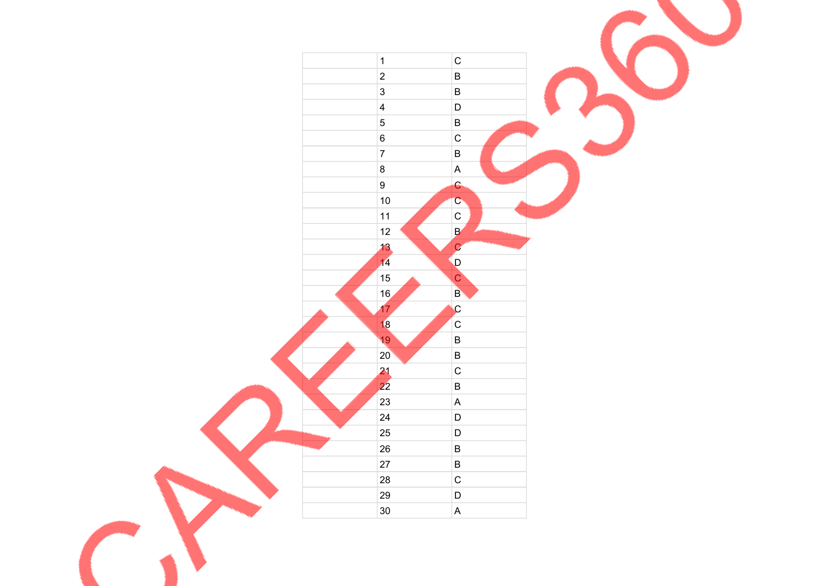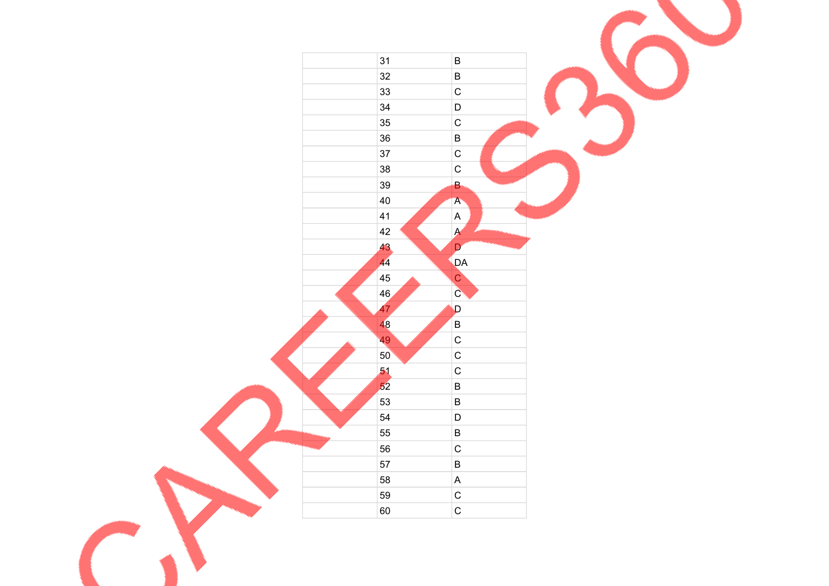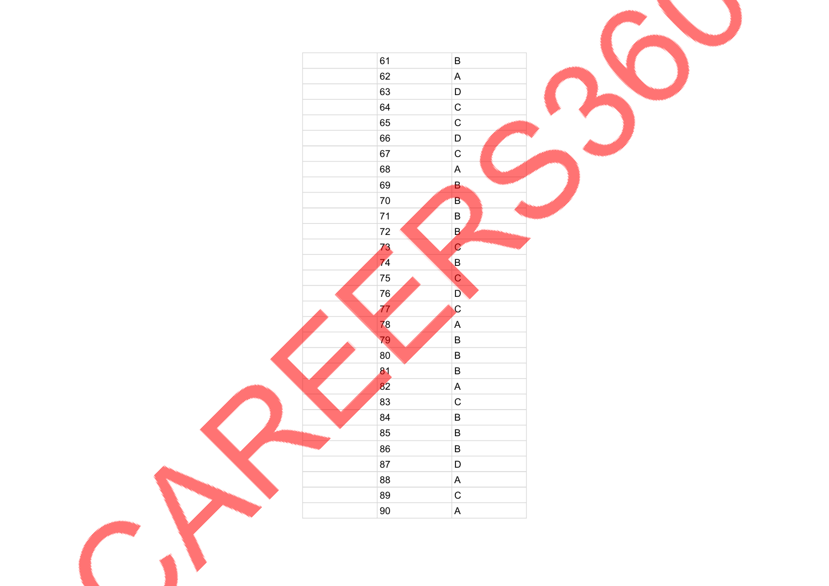